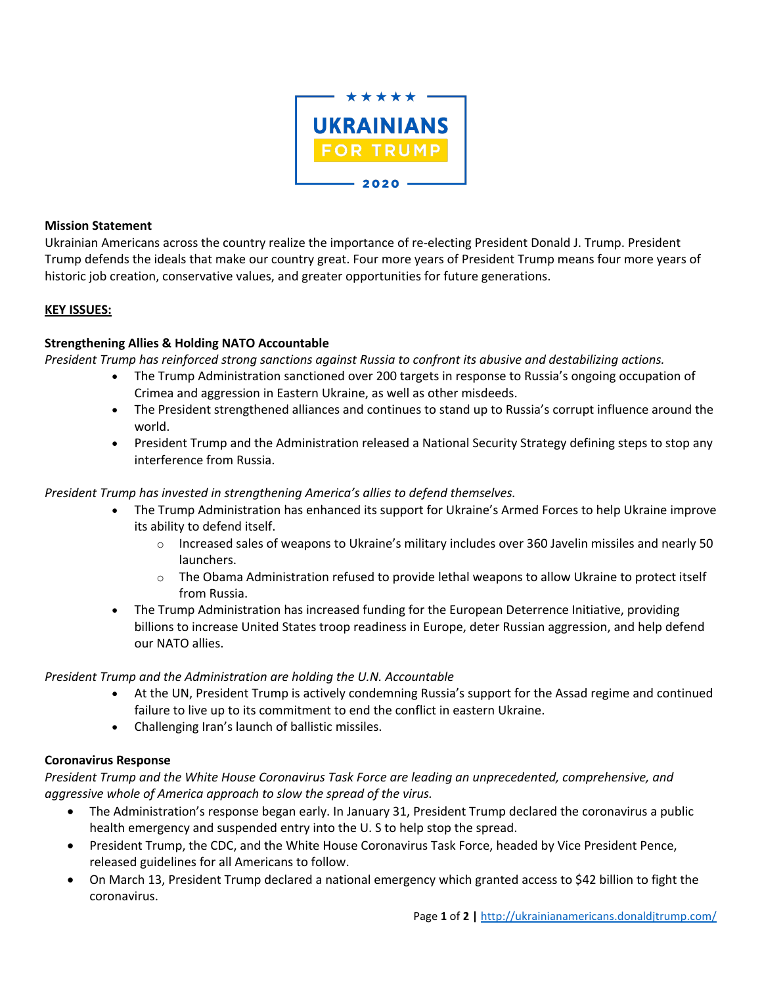

#### **Mission Statement**

Ukrainian Americans across the country realize the importance of re-electing President Donald J. Trump. President Trump defends the ideals that make our country great. Four more years of President Trump means four more years of historic job creation, conservative values, and greater opportunities for future generations.

### **KEY ISSUES:**

# **Strengthening Allies & Holding NATO Accountable**

*President Trump has reinforced strong sanctions against Russia to confront its abusive and destabilizing actions.*

- The Trump Administration sanctioned over 200 targets in response to Russia's ongoing occupation of Crimea and aggression in Eastern Ukraine, as well as other misdeeds.
- The President strengthened alliances and continues to stand up to Russia's corrupt influence around the world.
- President Trump and the Administration released a National Security Strategy defining steps to stop any interference from Russia.

### *President Trump has invested in strengthening America's allies to defend themselves.*

- The Trump Administration has enhanced its support for Ukraine's Armed Forces to help Ukraine improve its ability to defend itself.
	- $\circ$  Increased sales of weapons to Ukraine's military includes over 360 Javelin missiles and nearly 50 launchers.
	- $\circ$  The Obama Administration refused to provide lethal weapons to allow Ukraine to protect itself from Russia.
- The Trump Administration has increased funding for the European Deterrence Initiative, providing billions to increase United States troop readiness in Europe, deter Russian aggression, and help defend our NATO allies.

*President Trump and the Administration are holding the U.N. Accountable*

- At the UN, President Trump is actively condemning Russia's support for the Assad regime and continued failure to live up to its commitment to end the conflict in eastern Ukraine.
- Challenging Iran's launch of ballistic missiles.

# **Coronavirus Response**

*President Trump and the White House Coronavirus Task Force are leading an unprecedented, comprehensive, and aggressive whole of America approach to slow the spread of the virus.* 

- The Administration's response began early. In January 31, President Trump declared the coronavirus a public health emergency and suspended entry into the U. S to help stop the spread.
- President Trump, the CDC, and the White House Coronavirus Task Force, headed by Vice President Pence, released guidelines for all Americans to follow.
- On March 13, President Trump declared a national emergency which granted access to \$42 billion to fight the coronavirus.